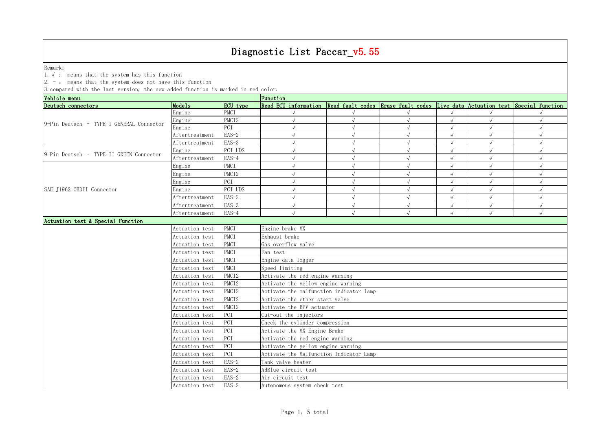Remark: The contract of the contract of  $\mathbb{R}$  and  $\mathbb{R}$  are contract of  $\mathbb{R}$  and  $\mathbb{R}$  are contract of  $\mathbb{R}$  and  $\mathbb{R}$  are contract of  $\mathbb{R}$  and  $\mathbb{R}$  are contract of  $\mathbb{R}$  and  $\mathbb{R}$  are cont

1.√ : means that the system has this function

2. - : means that the system does not have this function

| Vehicle menu                             |                |                              | Function                                                                                          |            |  |  |            |            |  |  |
|------------------------------------------|----------------|------------------------------|---------------------------------------------------------------------------------------------------|------------|--|--|------------|------------|--|--|
| Deutsch connectors                       | Models         | ECU type                     | Read ECU information Read fault codes Erase fault codes Live data Actuation test Special function |            |  |  |            |            |  |  |
|                                          | Engine         | <b>PMCI</b>                  |                                                                                                   |            |  |  |            |            |  |  |
| 9-Pin Deutsch - TYPE I GENERAL Connector | Engine         | PMCI <sub>2</sub>            | $\sqrt{ }$                                                                                        | $\sqrt{ }$ |  |  | $\sqrt{ }$ | $\sqrt{ }$ |  |  |
|                                          | Engine         | PCI                          |                                                                                                   | $\sqrt{ }$ |  |  | $\sqrt{ }$ | $\sqrt{ }$ |  |  |
|                                          | Aftertreatment | $EAS-2$                      |                                                                                                   | $\sqrt{ }$ |  |  | $\sqrt{ }$ | $\sqrt{ }$ |  |  |
|                                          | Aftertreatment | $EAS-3$                      |                                                                                                   | $\sqrt{ }$ |  |  | $\sqrt{ }$ | $\sqrt{}$  |  |  |
| 9-Pin Deutsch - TYPE II GREEN Connector  | Engine         | PCI UDS                      |                                                                                                   |            |  |  |            | $\sqrt{ }$ |  |  |
|                                          | Aftertreatment | EAS-4                        |                                                                                                   | $\sqrt{ }$ |  |  | $\sqrt{ }$ | $\sqrt{ }$ |  |  |
|                                          | Engine         | PMCI                         |                                                                                                   | $\sqrt{ }$ |  |  | $\sqrt{ }$ | $\sqrt{ }$ |  |  |
|                                          | Engine         | PMCI <sub>2</sub>            |                                                                                                   | $\sqrt{ }$ |  |  |            |            |  |  |
|                                          | Engine         | PCI                          |                                                                                                   | $\sqrt{ }$ |  |  | $\sqrt{ }$ | $\sqrt{}$  |  |  |
| SAE J1962 OBDII Connector                | Engine         | PCI UDS                      |                                                                                                   | $\sqrt{ }$ |  |  |            | $\sqrt{ }$ |  |  |
|                                          | Aftertreatment | $EAS-2$                      |                                                                                                   | $\sqrt{ }$ |  |  | $\sqrt{ }$ |            |  |  |
|                                          | Aftertreatment | $EAS-3$                      |                                                                                                   | $\sqrt{ }$ |  |  | $\sqrt{ }$ | $\sqrt{ }$ |  |  |
|                                          | Aftertreatment | EAS-4                        | $\sqrt{ }$                                                                                        | $\sqrt{ }$ |  |  | $\sqrt{ }$ | $\sqrt{ }$ |  |  |
| Actuation test & Special Function        |                |                              |                                                                                                   |            |  |  |            |            |  |  |
|                                          | Actuation test | PMCI                         | Engine brake MX                                                                                   |            |  |  |            |            |  |  |
|                                          | Actuation test | PMCI                         | Exhaust brake                                                                                     |            |  |  |            |            |  |  |
|                                          | Actuation test | PMCI                         | Gas overflow valve                                                                                |            |  |  |            |            |  |  |
|                                          | Actuation test | PMCI                         | Fan test                                                                                          |            |  |  |            |            |  |  |
|                                          | Actuation test | PMCI                         | Engine data logger                                                                                |            |  |  |            |            |  |  |
|                                          | Actuation test | PMCI                         | Speed limiting                                                                                    |            |  |  |            |            |  |  |
|                                          | Actuation test | PMCI <sub>2</sub>            | Activate the red engine warning                                                                   |            |  |  |            |            |  |  |
|                                          | Actuation test | PMCI <sub>2</sub>            | Activate the yellow engine warning                                                                |            |  |  |            |            |  |  |
|                                          | Actuation test | PMCI <sub>2</sub>            | Activate the malfunction indicator lamp                                                           |            |  |  |            |            |  |  |
|                                          | Actuation test | PMCI <sub>2</sub>            | Activate the ether start valve                                                                    |            |  |  |            |            |  |  |
|                                          | Actuation test | PMCI <sub>2</sub>            | Activate the BPV actuator                                                                         |            |  |  |            |            |  |  |
|                                          | Actuation test | PCI                          | Cut-out the injectors                                                                             |            |  |  |            |            |  |  |
|                                          | Actuation test | PCI                          | Check the cylinder compression                                                                    |            |  |  |            |            |  |  |
|                                          | Actuation test | PCI                          | Activate the MX Engine Brake                                                                      |            |  |  |            |            |  |  |
|                                          | Actuation test | PCI                          | Activate the red engine warning                                                                   |            |  |  |            |            |  |  |
|                                          | Actuation test | PCI                          | Activate the yellow engine warning                                                                |            |  |  |            |            |  |  |
|                                          | Actuation test | PCI                          | Activate the Malfunction Indicator Lamp                                                           |            |  |  |            |            |  |  |
|                                          | Actuation test | $EAS-2$                      | Tank valve heater                                                                                 |            |  |  |            |            |  |  |
|                                          | Actuation test | $EAS-2$                      | AdBlue circuit test                                                                               |            |  |  |            |            |  |  |
|                                          | Actuation test | $EAS-2$                      | Air circuit test                                                                                  |            |  |  |            |            |  |  |
|                                          | Actuation test | $EAS-2$                      |                                                                                                   |            |  |  |            |            |  |  |
|                                          |                | Autonomous system check test |                                                                                                   |            |  |  |            |            |  |  |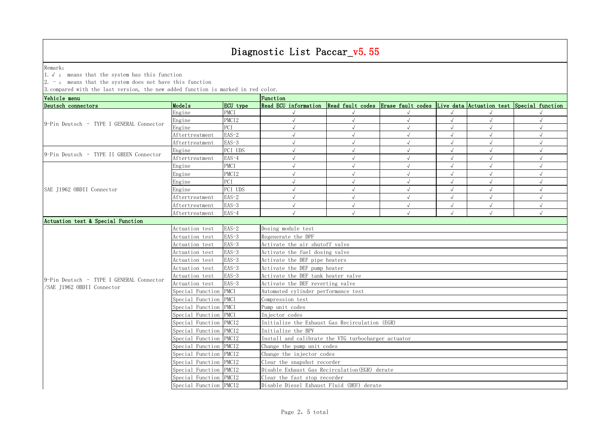Remark: The contract of the contract of  $\mathbb{R}$  and  $\mathbb{R}$  are contract of  $\mathbb{R}$  and  $\mathbb{R}$  are contract of  $\mathbb{R}$  and  $\mathbb{R}$  are contract of  $\mathbb{R}$  and  $\mathbb{R}$  are contract of  $\mathbb{R}$  and  $\mathbb{R}$  are cont

1.√ : means that the system has this function

2. - : means that the system does not have this function

| Vehicle menu<br>Deutsch connectors<br>Models<br>Read ECU information Read fault codes Erase fault codes Live data Actuation test Special function<br>ECU type<br><b>PMCI</b><br>Engine |                                     |  |  |  |  |  |  |  |  |
|----------------------------------------------------------------------------------------------------------------------------------------------------------------------------------------|-------------------------------------|--|--|--|--|--|--|--|--|
|                                                                                                                                                                                        |                                     |  |  |  |  |  |  |  |  |
|                                                                                                                                                                                        |                                     |  |  |  |  |  |  |  |  |
| PMCI <sub>2</sub><br>Engine<br>$\sqrt{ }$<br>$\sqrt{ }$<br>9-Pin Deutsch - TYPE I GENERAL Connector                                                                                    |                                     |  |  |  |  |  |  |  |  |
| Engine<br>PCI<br>$\sqrt{ }$                                                                                                                                                            | $\sqrt{}$                           |  |  |  |  |  |  |  |  |
| $EAS-2$<br>Aftertreatment                                                                                                                                                              | $\sqrt{ }$                          |  |  |  |  |  |  |  |  |
| $EAS-3$<br>Aftertreatment                                                                                                                                                              |                                     |  |  |  |  |  |  |  |  |
| PCI UDS<br>Engine<br>9-Pin Deutsch - TYPE II GREEN Connector                                                                                                                           |                                     |  |  |  |  |  |  |  |  |
| EAS-4<br>Aftertreatment                                                                                                                                                                |                                     |  |  |  |  |  |  |  |  |
| PMCI<br>Engine                                                                                                                                                                         |                                     |  |  |  |  |  |  |  |  |
| PMCI2<br>Engine<br>$\sqrt{ }$                                                                                                                                                          |                                     |  |  |  |  |  |  |  |  |
| PCI<br>Engine<br>$\sqrt{ }$                                                                                                                                                            |                                     |  |  |  |  |  |  |  |  |
| PCI UDS<br>SAE J1962 OBDII Connector<br>Engine                                                                                                                                         |                                     |  |  |  |  |  |  |  |  |
| $EAS-2$<br>Aftertreatment                                                                                                                                                              |                                     |  |  |  |  |  |  |  |  |
| $EAS-3$<br>$\sqrt{ }$<br>$\sqrt{ }$<br>Aftertreatment                                                                                                                                  | $\sqrt{ }$                          |  |  |  |  |  |  |  |  |
| $EAS-4$<br>$\sqrt{ }$<br>Aftertreatment<br>$\sqrt{ }$                                                                                                                                  | $\sqrt{ }$                          |  |  |  |  |  |  |  |  |
| Actuation test & Special Function                                                                                                                                                      |                                     |  |  |  |  |  |  |  |  |
| $EAS-2$<br>Dosing module test<br>Actuation test                                                                                                                                        |                                     |  |  |  |  |  |  |  |  |
| $EAS-3$<br>Regenerate the DPF<br>Actuation test                                                                                                                                        |                                     |  |  |  |  |  |  |  |  |
| $EAS-3$<br>Activate the air shutoff valve<br>Actuation test                                                                                                                            |                                     |  |  |  |  |  |  |  |  |
| $EAS-3$<br>Activate the fuel dosing valve<br>Actuation test                                                                                                                            |                                     |  |  |  |  |  |  |  |  |
| $EAS-3$<br>Activate the DEF pipe heaters<br>Actuation test                                                                                                                             |                                     |  |  |  |  |  |  |  |  |
| $EAS-3$<br>Actuation test                                                                                                                                                              | Activate the DEF pump heater        |  |  |  |  |  |  |  |  |
| $EAS-3$<br>Activate the DEF tank heater valve<br>Actuation test                                                                                                                        |                                     |  |  |  |  |  |  |  |  |
| 9-Pin Deutsch - TYPE I GENERAL Connector<br>$EAS-3$<br>Activate the DEF reverting valve<br>Actuation test                                                                              |                                     |  |  |  |  |  |  |  |  |
| SAE J1962 OBDII Connector<br>Special Function PMCI                                                                                                                                     | Automated cylinder performance test |  |  |  |  |  |  |  |  |
| Special Function PMCI<br>Compression test                                                                                                                                              |                                     |  |  |  |  |  |  |  |  |
| Special Function PMCI                                                                                                                                                                  | Pump unit codes                     |  |  |  |  |  |  |  |  |
| Special Function PMCI<br>Injector codes                                                                                                                                                |                                     |  |  |  |  |  |  |  |  |
| Special Function PMCI2<br>Initialize the Exhaust Gas Recirculation (EGR)                                                                                                               |                                     |  |  |  |  |  |  |  |  |
| Special Function PMCI2<br>Initialize the BPV                                                                                                                                           |                                     |  |  |  |  |  |  |  |  |
| Install and calibrate the VTG turbocharger actuator<br>Special Function PMCI2                                                                                                          |                                     |  |  |  |  |  |  |  |  |
| Special Function PMCI2<br>Change the pump unit codes                                                                                                                                   |                                     |  |  |  |  |  |  |  |  |
| Special Function PMCI2<br>Change the injector codes                                                                                                                                    |                                     |  |  |  |  |  |  |  |  |
| Special Function PMCI2<br>Clear the snapshot recorder                                                                                                                                  |                                     |  |  |  |  |  |  |  |  |
| Special Function PMCI2<br>Disable Exhaust Gas Recirculation (EGR) derate                                                                                                               |                                     |  |  |  |  |  |  |  |  |
| Special Function PMCI2<br>Clear the fast stop recorder                                                                                                                                 |                                     |  |  |  |  |  |  |  |  |
| Special Function PMCI2<br>Disable Diesel Exhaust Fluid (DEF) derate                                                                                                                    |                                     |  |  |  |  |  |  |  |  |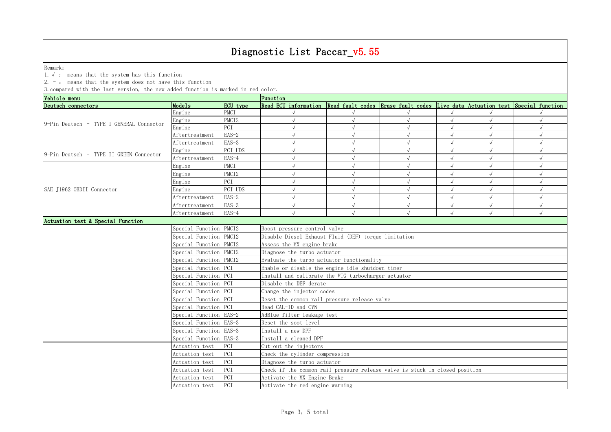Remark: The contract of the contract of  $\mathbb{R}$  and  $\mathbb{R}$  are contract of  $\mathbb{R}$  and  $\mathbb{R}$  are contract of  $\mathbb{R}$  and  $\mathbb{R}$  are contract of  $\mathbb{R}$  and  $\mathbb{R}$  are contract of  $\mathbb{R}$  and  $\mathbb{R}$  are cont

1.√ : means that the system has this function

2. - : means that the system does not have this function

| Deutsch connectors<br>Models<br>Read ECU information Read fault codes Erase fault codes Live data Actuation test Special function<br>ECU type<br><b>PMCI</b><br>Engine<br>PMCI <sub>2</sub><br>Engine<br>$\sqrt{ }$<br>$\sqrt{ }$<br>$\sqrt{ }$<br>9-Pin Deutsch - TYPE I GENERAL Connector<br>Engine<br>PCI<br>$\sqrt{ }$<br>$\sqrt{ }$<br>$EAS-2$<br>Aftertreatment<br>$\sqrt{ }$<br>$\sqrt{ }$<br>$\sqrt{ }$<br>$EAS-3$<br>Aftertreatment<br>$\sqrt{ }$<br>PCI UDS<br>Engine<br>$\sqrt{}$<br>9-Pin Deutsch - TYPE II GREEN Connector<br>EAS-4<br>$\sqrt{ }$<br>$\sqrt{ }$<br>Aftertreatment<br>PMCI<br>Engine<br>PMCI <sub>2</sub><br>Engine<br>$\sqrt{ }$<br>PCI<br>$\sqrt{ }$<br>Engine<br>PCI UDS<br>$\sqrt{ }$<br>SAE J1962 OBDII Connector<br>Engine<br>$\sqrt{ }$<br>$EAS-2$<br>$\sqrt{ }$<br>$\sqrt{ }$<br>Aftertreatment<br>$EAS-3$<br>$\sqrt{ }$<br>$\sqrt{ }$<br>$\sqrt{ }$<br>Aftertreatment<br>EAS-4<br>$\sqrt{ }$<br>$\sqrt{ }$<br>$\sqrt{ }$<br>Aftertreatment<br>Actuation test & Special Function<br>Special Function PMCI2<br>Boost pressure control valve<br>Special Function PMCI2<br>Disable Diesel Exhaust Fluid (DEF) torque limitation<br>Special Function PMCI2<br>Assess the MX engine brake<br>Special Function PMCI2<br>Diagnose the turbo actuator<br>Special Function PMCI2<br>Evaluate the turbo actuator functionality<br>Special Function PCI<br>Enable or disable the engine idle shutdown timer<br>Special Function PCI<br>Install and calibrate the VTG turbocharger actuator<br>Special Function PCI<br>Disable the DEF derate<br>Special Function PCI<br>Change the injector codes<br>Special Function PCI<br>Reset the common rail pressure release valve<br>Special Function PCI<br>Read CAL-ID and CVN<br>Special Function EAS-2<br>AdBlue filter leakage test<br>Special Function EAS-3<br>Reset the soot level<br>Install a new DPF<br>Special Function EAS-3<br>Special Function EAS-3<br>Install a cleaned DPF<br>PCI<br>Cut-out the injectors<br>Actuation test<br>PCI<br>Check the cylinder compression<br>Actuation test<br>PCI<br>Diagnose the turbo actuator<br>Actuation test<br>PCI<br>Actuation test<br>Check if the common rail pressure release valve is stuck in closed position<br>PCI<br>Actuation test<br>Activate the MX Engine Brake<br>Activate the red engine warning | Vehicle menu |                |     | Function |  |  |  |  |  |  |  |
|----------------------------------------------------------------------------------------------------------------------------------------------------------------------------------------------------------------------------------------------------------------------------------------------------------------------------------------------------------------------------------------------------------------------------------------------------------------------------------------------------------------------------------------------------------------------------------------------------------------------------------------------------------------------------------------------------------------------------------------------------------------------------------------------------------------------------------------------------------------------------------------------------------------------------------------------------------------------------------------------------------------------------------------------------------------------------------------------------------------------------------------------------------------------------------------------------------------------------------------------------------------------------------------------------------------------------------------------------------------------------------------------------------------------------------------------------------------------------------------------------------------------------------------------------------------------------------------------------------------------------------------------------------------------------------------------------------------------------------------------------------------------------------------------------------------------------------------------------------------------------------------------------------------------------------------------------------------------------------------------------------------------------------------------------------------------------------------------------------------------------------------------------------------------------------------------------------------------------------------------------------------------------------------------------------------------------------------|--------------|----------------|-----|----------|--|--|--|--|--|--|--|
|                                                                                                                                                                                                                                                                                                                                                                                                                                                                                                                                                                                                                                                                                                                                                                                                                                                                                                                                                                                                                                                                                                                                                                                                                                                                                                                                                                                                                                                                                                                                                                                                                                                                                                                                                                                                                                                                                                                                                                                                                                                                                                                                                                                                                                                                                                                                        |              |                |     |          |  |  |  |  |  |  |  |
|                                                                                                                                                                                                                                                                                                                                                                                                                                                                                                                                                                                                                                                                                                                                                                                                                                                                                                                                                                                                                                                                                                                                                                                                                                                                                                                                                                                                                                                                                                                                                                                                                                                                                                                                                                                                                                                                                                                                                                                                                                                                                                                                                                                                                                                                                                                                        |              |                |     |          |  |  |  |  |  |  |  |
|                                                                                                                                                                                                                                                                                                                                                                                                                                                                                                                                                                                                                                                                                                                                                                                                                                                                                                                                                                                                                                                                                                                                                                                                                                                                                                                                                                                                                                                                                                                                                                                                                                                                                                                                                                                                                                                                                                                                                                                                                                                                                                                                                                                                                                                                                                                                        |              |                |     |          |  |  |  |  |  |  |  |
|                                                                                                                                                                                                                                                                                                                                                                                                                                                                                                                                                                                                                                                                                                                                                                                                                                                                                                                                                                                                                                                                                                                                                                                                                                                                                                                                                                                                                                                                                                                                                                                                                                                                                                                                                                                                                                                                                                                                                                                                                                                                                                                                                                                                                                                                                                                                        |              |                |     |          |  |  |  |  |  |  |  |
|                                                                                                                                                                                                                                                                                                                                                                                                                                                                                                                                                                                                                                                                                                                                                                                                                                                                                                                                                                                                                                                                                                                                                                                                                                                                                                                                                                                                                                                                                                                                                                                                                                                                                                                                                                                                                                                                                                                                                                                                                                                                                                                                                                                                                                                                                                                                        |              |                |     |          |  |  |  |  |  |  |  |
|                                                                                                                                                                                                                                                                                                                                                                                                                                                                                                                                                                                                                                                                                                                                                                                                                                                                                                                                                                                                                                                                                                                                                                                                                                                                                                                                                                                                                                                                                                                                                                                                                                                                                                                                                                                                                                                                                                                                                                                                                                                                                                                                                                                                                                                                                                                                        |              |                |     |          |  |  |  |  |  |  |  |
|                                                                                                                                                                                                                                                                                                                                                                                                                                                                                                                                                                                                                                                                                                                                                                                                                                                                                                                                                                                                                                                                                                                                                                                                                                                                                                                                                                                                                                                                                                                                                                                                                                                                                                                                                                                                                                                                                                                                                                                                                                                                                                                                                                                                                                                                                                                                        |              |                |     |          |  |  |  |  |  |  |  |
|                                                                                                                                                                                                                                                                                                                                                                                                                                                                                                                                                                                                                                                                                                                                                                                                                                                                                                                                                                                                                                                                                                                                                                                                                                                                                                                                                                                                                                                                                                                                                                                                                                                                                                                                                                                                                                                                                                                                                                                                                                                                                                                                                                                                                                                                                                                                        |              |                |     |          |  |  |  |  |  |  |  |
|                                                                                                                                                                                                                                                                                                                                                                                                                                                                                                                                                                                                                                                                                                                                                                                                                                                                                                                                                                                                                                                                                                                                                                                                                                                                                                                                                                                                                                                                                                                                                                                                                                                                                                                                                                                                                                                                                                                                                                                                                                                                                                                                                                                                                                                                                                                                        |              |                |     |          |  |  |  |  |  |  |  |
|                                                                                                                                                                                                                                                                                                                                                                                                                                                                                                                                                                                                                                                                                                                                                                                                                                                                                                                                                                                                                                                                                                                                                                                                                                                                                                                                                                                                                                                                                                                                                                                                                                                                                                                                                                                                                                                                                                                                                                                                                                                                                                                                                                                                                                                                                                                                        |              |                |     |          |  |  |  |  |  |  |  |
|                                                                                                                                                                                                                                                                                                                                                                                                                                                                                                                                                                                                                                                                                                                                                                                                                                                                                                                                                                                                                                                                                                                                                                                                                                                                                                                                                                                                                                                                                                                                                                                                                                                                                                                                                                                                                                                                                                                                                                                                                                                                                                                                                                                                                                                                                                                                        |              |                |     |          |  |  |  |  |  |  |  |
|                                                                                                                                                                                                                                                                                                                                                                                                                                                                                                                                                                                                                                                                                                                                                                                                                                                                                                                                                                                                                                                                                                                                                                                                                                                                                                                                                                                                                                                                                                                                                                                                                                                                                                                                                                                                                                                                                                                                                                                                                                                                                                                                                                                                                                                                                                                                        |              |                |     |          |  |  |  |  |  |  |  |
|                                                                                                                                                                                                                                                                                                                                                                                                                                                                                                                                                                                                                                                                                                                                                                                                                                                                                                                                                                                                                                                                                                                                                                                                                                                                                                                                                                                                                                                                                                                                                                                                                                                                                                                                                                                                                                                                                                                                                                                                                                                                                                                                                                                                                                                                                                                                        |              |                |     |          |  |  |  |  |  |  |  |
|                                                                                                                                                                                                                                                                                                                                                                                                                                                                                                                                                                                                                                                                                                                                                                                                                                                                                                                                                                                                                                                                                                                                                                                                                                                                                                                                                                                                                                                                                                                                                                                                                                                                                                                                                                                                                                                                                                                                                                                                                                                                                                                                                                                                                                                                                                                                        |              |                |     |          |  |  |  |  |  |  |  |
|                                                                                                                                                                                                                                                                                                                                                                                                                                                                                                                                                                                                                                                                                                                                                                                                                                                                                                                                                                                                                                                                                                                                                                                                                                                                                                                                                                                                                                                                                                                                                                                                                                                                                                                                                                                                                                                                                                                                                                                                                                                                                                                                                                                                                                                                                                                                        |              |                |     |          |  |  |  |  |  |  |  |
|                                                                                                                                                                                                                                                                                                                                                                                                                                                                                                                                                                                                                                                                                                                                                                                                                                                                                                                                                                                                                                                                                                                                                                                                                                                                                                                                                                                                                                                                                                                                                                                                                                                                                                                                                                                                                                                                                                                                                                                                                                                                                                                                                                                                                                                                                                                                        |              |                |     |          |  |  |  |  |  |  |  |
|                                                                                                                                                                                                                                                                                                                                                                                                                                                                                                                                                                                                                                                                                                                                                                                                                                                                                                                                                                                                                                                                                                                                                                                                                                                                                                                                                                                                                                                                                                                                                                                                                                                                                                                                                                                                                                                                                                                                                                                                                                                                                                                                                                                                                                                                                                                                        |              |                |     |          |  |  |  |  |  |  |  |
|                                                                                                                                                                                                                                                                                                                                                                                                                                                                                                                                                                                                                                                                                                                                                                                                                                                                                                                                                                                                                                                                                                                                                                                                                                                                                                                                                                                                                                                                                                                                                                                                                                                                                                                                                                                                                                                                                                                                                                                                                                                                                                                                                                                                                                                                                                                                        |              |                |     |          |  |  |  |  |  |  |  |
|                                                                                                                                                                                                                                                                                                                                                                                                                                                                                                                                                                                                                                                                                                                                                                                                                                                                                                                                                                                                                                                                                                                                                                                                                                                                                                                                                                                                                                                                                                                                                                                                                                                                                                                                                                                                                                                                                                                                                                                                                                                                                                                                                                                                                                                                                                                                        |              |                |     |          |  |  |  |  |  |  |  |
|                                                                                                                                                                                                                                                                                                                                                                                                                                                                                                                                                                                                                                                                                                                                                                                                                                                                                                                                                                                                                                                                                                                                                                                                                                                                                                                                                                                                                                                                                                                                                                                                                                                                                                                                                                                                                                                                                                                                                                                                                                                                                                                                                                                                                                                                                                                                        |              |                |     |          |  |  |  |  |  |  |  |
|                                                                                                                                                                                                                                                                                                                                                                                                                                                                                                                                                                                                                                                                                                                                                                                                                                                                                                                                                                                                                                                                                                                                                                                                                                                                                                                                                                                                                                                                                                                                                                                                                                                                                                                                                                                                                                                                                                                                                                                                                                                                                                                                                                                                                                                                                                                                        |              |                |     |          |  |  |  |  |  |  |  |
|                                                                                                                                                                                                                                                                                                                                                                                                                                                                                                                                                                                                                                                                                                                                                                                                                                                                                                                                                                                                                                                                                                                                                                                                                                                                                                                                                                                                                                                                                                                                                                                                                                                                                                                                                                                                                                                                                                                                                                                                                                                                                                                                                                                                                                                                                                                                        |              |                |     |          |  |  |  |  |  |  |  |
|                                                                                                                                                                                                                                                                                                                                                                                                                                                                                                                                                                                                                                                                                                                                                                                                                                                                                                                                                                                                                                                                                                                                                                                                                                                                                                                                                                                                                                                                                                                                                                                                                                                                                                                                                                                                                                                                                                                                                                                                                                                                                                                                                                                                                                                                                                                                        |              |                |     |          |  |  |  |  |  |  |  |
|                                                                                                                                                                                                                                                                                                                                                                                                                                                                                                                                                                                                                                                                                                                                                                                                                                                                                                                                                                                                                                                                                                                                                                                                                                                                                                                                                                                                                                                                                                                                                                                                                                                                                                                                                                                                                                                                                                                                                                                                                                                                                                                                                                                                                                                                                                                                        |              |                |     |          |  |  |  |  |  |  |  |
|                                                                                                                                                                                                                                                                                                                                                                                                                                                                                                                                                                                                                                                                                                                                                                                                                                                                                                                                                                                                                                                                                                                                                                                                                                                                                                                                                                                                                                                                                                                                                                                                                                                                                                                                                                                                                                                                                                                                                                                                                                                                                                                                                                                                                                                                                                                                        |              |                |     |          |  |  |  |  |  |  |  |
|                                                                                                                                                                                                                                                                                                                                                                                                                                                                                                                                                                                                                                                                                                                                                                                                                                                                                                                                                                                                                                                                                                                                                                                                                                                                                                                                                                                                                                                                                                                                                                                                                                                                                                                                                                                                                                                                                                                                                                                                                                                                                                                                                                                                                                                                                                                                        |              |                |     |          |  |  |  |  |  |  |  |
|                                                                                                                                                                                                                                                                                                                                                                                                                                                                                                                                                                                                                                                                                                                                                                                                                                                                                                                                                                                                                                                                                                                                                                                                                                                                                                                                                                                                                                                                                                                                                                                                                                                                                                                                                                                                                                                                                                                                                                                                                                                                                                                                                                                                                                                                                                                                        |              |                |     |          |  |  |  |  |  |  |  |
|                                                                                                                                                                                                                                                                                                                                                                                                                                                                                                                                                                                                                                                                                                                                                                                                                                                                                                                                                                                                                                                                                                                                                                                                                                                                                                                                                                                                                                                                                                                                                                                                                                                                                                                                                                                                                                                                                                                                                                                                                                                                                                                                                                                                                                                                                                                                        |              |                |     |          |  |  |  |  |  |  |  |
|                                                                                                                                                                                                                                                                                                                                                                                                                                                                                                                                                                                                                                                                                                                                                                                                                                                                                                                                                                                                                                                                                                                                                                                                                                                                                                                                                                                                                                                                                                                                                                                                                                                                                                                                                                                                                                                                                                                                                                                                                                                                                                                                                                                                                                                                                                                                        |              |                |     |          |  |  |  |  |  |  |  |
|                                                                                                                                                                                                                                                                                                                                                                                                                                                                                                                                                                                                                                                                                                                                                                                                                                                                                                                                                                                                                                                                                                                                                                                                                                                                                                                                                                                                                                                                                                                                                                                                                                                                                                                                                                                                                                                                                                                                                                                                                                                                                                                                                                                                                                                                                                                                        |              |                |     |          |  |  |  |  |  |  |  |
|                                                                                                                                                                                                                                                                                                                                                                                                                                                                                                                                                                                                                                                                                                                                                                                                                                                                                                                                                                                                                                                                                                                                                                                                                                                                                                                                                                                                                                                                                                                                                                                                                                                                                                                                                                                                                                                                                                                                                                                                                                                                                                                                                                                                                                                                                                                                        |              |                |     |          |  |  |  |  |  |  |  |
|                                                                                                                                                                                                                                                                                                                                                                                                                                                                                                                                                                                                                                                                                                                                                                                                                                                                                                                                                                                                                                                                                                                                                                                                                                                                                                                                                                                                                                                                                                                                                                                                                                                                                                                                                                                                                                                                                                                                                                                                                                                                                                                                                                                                                                                                                                                                        |              |                |     |          |  |  |  |  |  |  |  |
|                                                                                                                                                                                                                                                                                                                                                                                                                                                                                                                                                                                                                                                                                                                                                                                                                                                                                                                                                                                                                                                                                                                                                                                                                                                                                                                                                                                                                                                                                                                                                                                                                                                                                                                                                                                                                                                                                                                                                                                                                                                                                                                                                                                                                                                                                                                                        |              |                |     |          |  |  |  |  |  |  |  |
|                                                                                                                                                                                                                                                                                                                                                                                                                                                                                                                                                                                                                                                                                                                                                                                                                                                                                                                                                                                                                                                                                                                                                                                                                                                                                                                                                                                                                                                                                                                                                                                                                                                                                                                                                                                                                                                                                                                                                                                                                                                                                                                                                                                                                                                                                                                                        |              |                |     |          |  |  |  |  |  |  |  |
|                                                                                                                                                                                                                                                                                                                                                                                                                                                                                                                                                                                                                                                                                                                                                                                                                                                                                                                                                                                                                                                                                                                                                                                                                                                                                                                                                                                                                                                                                                                                                                                                                                                                                                                                                                                                                                                                                                                                                                                                                                                                                                                                                                                                                                                                                                                                        |              |                |     |          |  |  |  |  |  |  |  |
|                                                                                                                                                                                                                                                                                                                                                                                                                                                                                                                                                                                                                                                                                                                                                                                                                                                                                                                                                                                                                                                                                                                                                                                                                                                                                                                                                                                                                                                                                                                                                                                                                                                                                                                                                                                                                                                                                                                                                                                                                                                                                                                                                                                                                                                                                                                                        |              |                |     |          |  |  |  |  |  |  |  |
|                                                                                                                                                                                                                                                                                                                                                                                                                                                                                                                                                                                                                                                                                                                                                                                                                                                                                                                                                                                                                                                                                                                                                                                                                                                                                                                                                                                                                                                                                                                                                                                                                                                                                                                                                                                                                                                                                                                                                                                                                                                                                                                                                                                                                                                                                                                                        |              | Actuation test | PCI |          |  |  |  |  |  |  |  |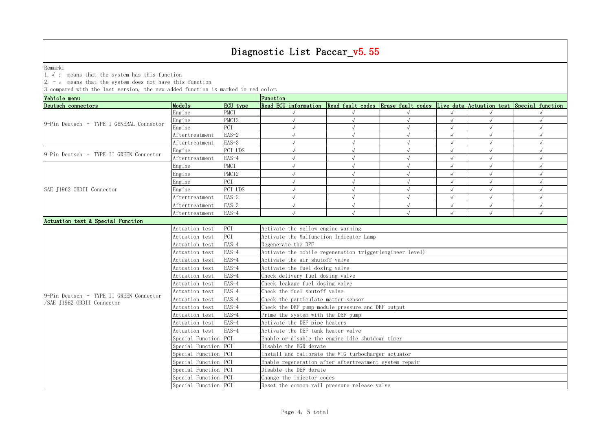Remark: The contract of the contract of  $\mathbb{R}$  and  $\mathbb{R}$  are contract of  $\mathbb{R}$  and  $\mathbb{R}$  are contract of  $\mathbb{R}$  and  $\mathbb{R}$  are contract of  $\mathbb{R}$  and  $\mathbb{R}$  are contract of  $\mathbb{R}$  and  $\mathbb{R}$  are cont

1.√ : means that the system has this function

2. - : means that the system does not have this function

| Vehicle menu                                                                                                                                                                                                                                                                                                                                                                                                                                                                                                                                                                                                                                                                                                                                                                                                                                                                                                                                                                         |                      |             | Function                                                                                          |            |  |                                                                    |            |            |  |  |  |
|--------------------------------------------------------------------------------------------------------------------------------------------------------------------------------------------------------------------------------------------------------------------------------------------------------------------------------------------------------------------------------------------------------------------------------------------------------------------------------------------------------------------------------------------------------------------------------------------------------------------------------------------------------------------------------------------------------------------------------------------------------------------------------------------------------------------------------------------------------------------------------------------------------------------------------------------------------------------------------------|----------------------|-------------|---------------------------------------------------------------------------------------------------|------------|--|--------------------------------------------------------------------|------------|------------|--|--|--|
|                                                                                                                                                                                                                                                                                                                                                                                                                                                                                                                                                                                                                                                                                                                                                                                                                                                                                                                                                                                      | Models               | ECU type    | Read ECU information Read fault codes Erase fault codes Live data Actuation test Special function |            |  |                                                                    |            |            |  |  |  |
|                                                                                                                                                                                                                                                                                                                                                                                                                                                                                                                                                                                                                                                                                                                                                                                                                                                                                                                                                                                      | Engine               | <b>PMCT</b> |                                                                                                   |            |  |                                                                    |            |            |  |  |  |
|                                                                                                                                                                                                                                                                                                                                                                                                                                                                                                                                                                                                                                                                                                                                                                                                                                                                                                                                                                                      | Engine               |             |                                                                                                   | $\sqrt{ }$ |  |                                                                    | $\sqrt{ }$ | $\sqrt{ }$ |  |  |  |
| Deutsch connectors<br>PMCI <sub>2</sub><br>9-Pin Deutsch - TYPE I GENERAL Connector<br>Engine<br>PCI<br>$EAS-2$<br>Aftertreatment<br>$EAS-3$<br>Aftertreatment<br>PCI UDS<br>Engine<br>9-Pin Deutsch - TYPE II GREEN Connector<br>$EAS-4$<br>Aftertreatment<br>PMCI<br>Engine<br>PMCI <sub>2</sub><br>Engine<br>PCI<br>Engine<br>PCI UDS<br>SAE J1962 OBDII Connector<br>Engine<br>$EAS-2$<br>Aftertreatment<br>$EAS-3$<br>Aftertreatment<br>EAS-4<br>Aftertreatment<br>Actuation test & Special Function<br>PCI<br>Actuation test<br>PCI<br>Actuation test<br>EAS-4<br>Actuation test<br>EAS-4<br>Actuation test<br>$EAS-4$<br>Actuation test<br>$EAS-4$<br>Actuation test<br>$EAS-4$<br>Actuation test<br>$EAS-4$<br>Actuation test<br>EAS-4<br>Actuation test<br>9-Pin Deutsch - TYPE II GREEN Connector<br>EAS-4<br>Actuation test<br>/SAE J1962 OBDII Connector<br>EAS-4<br>Actuation test<br>$EAS-4$<br>Actuation test<br>$EAS-4$<br>Actuation test<br>EAS-4<br>Actuation test |                      |             |                                                                                                   |            |  |                                                                    |            | $\sqrt{ }$ |  |  |  |
|                                                                                                                                                                                                                                                                                                                                                                                                                                                                                                                                                                                                                                                                                                                                                                                                                                                                                                                                                                                      |                      |             |                                                                                                   |            |  | $\sqrt{}$                                                          |            |            |  |  |  |
|                                                                                                                                                                                                                                                                                                                                                                                                                                                                                                                                                                                                                                                                                                                                                                                                                                                                                                                                                                                      |                      |             |                                                                                                   |            |  | $\sqrt{ }$<br>$\sqrt{ }$<br>$\sqrt{ }$<br>$\sqrt{ }$<br>$\sqrt{ }$ |            |            |  |  |  |
|                                                                                                                                                                                                                                                                                                                                                                                                                                                                                                                                                                                                                                                                                                                                                                                                                                                                                                                                                                                      |                      |             |                                                                                                   |            |  |                                                                    |            |            |  |  |  |
|                                                                                                                                                                                                                                                                                                                                                                                                                                                                                                                                                                                                                                                                                                                                                                                                                                                                                                                                                                                      |                      |             |                                                                                                   | $\sqrt{ }$ |  |                                                                    |            |            |  |  |  |
|                                                                                                                                                                                                                                                                                                                                                                                                                                                                                                                                                                                                                                                                                                                                                                                                                                                                                                                                                                                      |                      |             |                                                                                                   |            |  |                                                                    |            |            |  |  |  |
|                                                                                                                                                                                                                                                                                                                                                                                                                                                                                                                                                                                                                                                                                                                                                                                                                                                                                                                                                                                      |                      |             |                                                                                                   |            |  |                                                                    |            |            |  |  |  |
|                                                                                                                                                                                                                                                                                                                                                                                                                                                                                                                                                                                                                                                                                                                                                                                                                                                                                                                                                                                      |                      |             |                                                                                                   | $\sqrt{ }$ |  |                                                                    |            | $\sqrt{ }$ |  |  |  |
|                                                                                                                                                                                                                                                                                                                                                                                                                                                                                                                                                                                                                                                                                                                                                                                                                                                                                                                                                                                      |                      |             |                                                                                                   | $\sqrt{ }$ |  |                                                                    |            | $\sqrt{2}$ |  |  |  |
|                                                                                                                                                                                                                                                                                                                                                                                                                                                                                                                                                                                                                                                                                                                                                                                                                                                                                                                                                                                      |                      |             |                                                                                                   |            |  |                                                                    |            | $\sqrt{2}$ |  |  |  |
|                                                                                                                                                                                                                                                                                                                                                                                                                                                                                                                                                                                                                                                                                                                                                                                                                                                                                                                                                                                      |                      |             | $\sqrt{ }$                                                                                        | $\sqrt{ }$ |  |                                                                    |            | $\sqrt{ }$ |  |  |  |
|                                                                                                                                                                                                                                                                                                                                                                                                                                                                                                                                                                                                                                                                                                                                                                                                                                                                                                                                                                                      |                      |             |                                                                                                   |            |  |                                                                    |            | $\sqrt{ }$ |  |  |  |
|                                                                                                                                                                                                                                                                                                                                                                                                                                                                                                                                                                                                                                                                                                                                                                                                                                                                                                                                                                                      |                      |             |                                                                                                   |            |  |                                                                    |            |            |  |  |  |
|                                                                                                                                                                                                                                                                                                                                                                                                                                                                                                                                                                                                                                                                                                                                                                                                                                                                                                                                                                                      |                      |             | Activate the yellow engine warning                                                                |            |  |                                                                    |            |            |  |  |  |
|                                                                                                                                                                                                                                                                                                                                                                                                                                                                                                                                                                                                                                                                                                                                                                                                                                                                                                                                                                                      |                      |             | Activate the Malfunction Indicator Lamp                                                           |            |  |                                                                    |            |            |  |  |  |
|                                                                                                                                                                                                                                                                                                                                                                                                                                                                                                                                                                                                                                                                                                                                                                                                                                                                                                                                                                                      |                      |             | Regenerate the DPF                                                                                |            |  |                                                                    |            |            |  |  |  |
|                                                                                                                                                                                                                                                                                                                                                                                                                                                                                                                                                                                                                                                                                                                                                                                                                                                                                                                                                                                      |                      |             | Activate the mobile regeneration trigger (engineer level)                                         |            |  |                                                                    |            |            |  |  |  |
|                                                                                                                                                                                                                                                                                                                                                                                                                                                                                                                                                                                                                                                                                                                                                                                                                                                                                                                                                                                      |                      |             | Activate the air shutoff valve                                                                    |            |  |                                                                    |            |            |  |  |  |
|                                                                                                                                                                                                                                                                                                                                                                                                                                                                                                                                                                                                                                                                                                                                                                                                                                                                                                                                                                                      |                      |             | Activate the fuel dosing valve                                                                    |            |  |                                                                    |            |            |  |  |  |
|                                                                                                                                                                                                                                                                                                                                                                                                                                                                                                                                                                                                                                                                                                                                                                                                                                                                                                                                                                                      |                      |             | Check delivery fuel dosing valve                                                                  |            |  |                                                                    |            |            |  |  |  |
|                                                                                                                                                                                                                                                                                                                                                                                                                                                                                                                                                                                                                                                                                                                                                                                                                                                                                                                                                                                      |                      |             | Check leakage fuel dosing valve                                                                   |            |  |                                                                    |            |            |  |  |  |
|                                                                                                                                                                                                                                                                                                                                                                                                                                                                                                                                                                                                                                                                                                                                                                                                                                                                                                                                                                                      |                      |             | Check the fuel shutoff valve                                                                      |            |  |                                                                    |            |            |  |  |  |
|                                                                                                                                                                                                                                                                                                                                                                                                                                                                                                                                                                                                                                                                                                                                                                                                                                                                                                                                                                                      |                      |             | Check the particulate matter sensor                                                               |            |  |                                                                    |            |            |  |  |  |
|                                                                                                                                                                                                                                                                                                                                                                                                                                                                                                                                                                                                                                                                                                                                                                                                                                                                                                                                                                                      |                      |             | Check the DEF pump module pressure and DEF output                                                 |            |  |                                                                    |            |            |  |  |  |
|                                                                                                                                                                                                                                                                                                                                                                                                                                                                                                                                                                                                                                                                                                                                                                                                                                                                                                                                                                                      |                      |             | Prime the system with the DEF pump                                                                |            |  |                                                                    |            |            |  |  |  |
|                                                                                                                                                                                                                                                                                                                                                                                                                                                                                                                                                                                                                                                                                                                                                                                                                                                                                                                                                                                      |                      |             | Activate the DEF pipe heaters                                                                     |            |  |                                                                    |            |            |  |  |  |
|                                                                                                                                                                                                                                                                                                                                                                                                                                                                                                                                                                                                                                                                                                                                                                                                                                                                                                                                                                                      |                      |             | Activate the DEF tank heater valve                                                                |            |  |                                                                    |            |            |  |  |  |
|                                                                                                                                                                                                                                                                                                                                                                                                                                                                                                                                                                                                                                                                                                                                                                                                                                                                                                                                                                                      | Special Function PCI |             | Enable or disable the engine idle shutdown timer                                                  |            |  |                                                                    |            |            |  |  |  |
|                                                                                                                                                                                                                                                                                                                                                                                                                                                                                                                                                                                                                                                                                                                                                                                                                                                                                                                                                                                      | Special Function PCI |             | Disable the EGR derate                                                                            |            |  |                                                                    |            |            |  |  |  |
|                                                                                                                                                                                                                                                                                                                                                                                                                                                                                                                                                                                                                                                                                                                                                                                                                                                                                                                                                                                      | Special Function PCI |             | Install and calibrate the VTG turbocharger actuator                                               |            |  |                                                                    |            |            |  |  |  |
|                                                                                                                                                                                                                                                                                                                                                                                                                                                                                                                                                                                                                                                                                                                                                                                                                                                                                                                                                                                      | Special Function PCI |             | Enable regeneration after aftertreatment system repair                                            |            |  |                                                                    |            |            |  |  |  |
|                                                                                                                                                                                                                                                                                                                                                                                                                                                                                                                                                                                                                                                                                                                                                                                                                                                                                                                                                                                      | Special Function PCI |             | Disable the DEF derate                                                                            |            |  |                                                                    |            |            |  |  |  |
|                                                                                                                                                                                                                                                                                                                                                                                                                                                                                                                                                                                                                                                                                                                                                                                                                                                                                                                                                                                      | Special Function PCI |             | Change the injector codes                                                                         |            |  |                                                                    |            |            |  |  |  |
|                                                                                                                                                                                                                                                                                                                                                                                                                                                                                                                                                                                                                                                                                                                                                                                                                                                                                                                                                                                      | Special Function PCI |             | Reset the common rail pressure release valve                                                      |            |  |                                                                    |            |            |  |  |  |